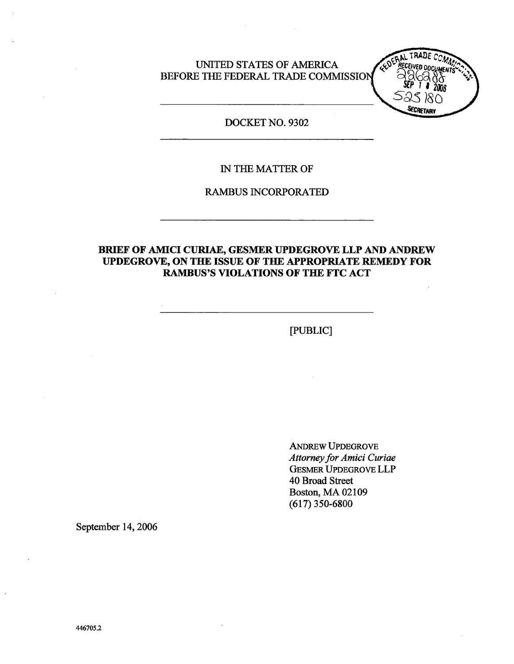UNTED STATES OF AMRICA BEFORE THE FEDERAL TRADE COMMISSION



DOCKET NO. 9302

### IN THE MATTER OF

RAMBUS INCORPORATED

### BRIEF OF AMICI CURIAE, GESMER UPDEGROVE LLP AND ANDREW UPDEGROVE, ON THE ISSUE OF THE APPROPRIATE REMEDY FOR RAMBUS'S VIOLATIONS OF THE FTC ACT

(PUBLIC)

ANREW UPDEGROVE Attorney for Amici Curiae GESMER UPDEGROVE LLP 40 Broad Street Boston, MA 02109 (617) 350-6800

September 14, 2006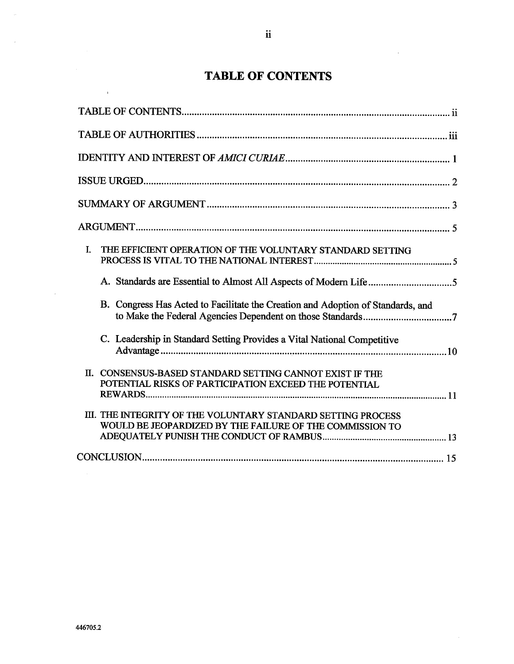# TABLE OF CONTENTS

| I.<br>THE EFFICIENT OPERATION OF THE VOLUNTARY STANDARD SETTING                                                          |
|--------------------------------------------------------------------------------------------------------------------------|
|                                                                                                                          |
| B. Congress Has Acted to Facilitate the Creation and Adoption of Standards, and                                          |
| C. Leadership in Standard Setting Provides a Vital National Competitive                                                  |
| II. CONSENSUS-BASED STANDARD SETTING CANNOT EXIST IF THE<br>POTENTIAL RISKS OF PARTICIPATION EXCEED THE POTENTIAL        |
| III. THE INTEGRITY OF THE VOLUNTARY STANDARD SETTING PROCESS<br>WOULD BE JEOPARDIZED BY THE FAILURE OF THE COMMISSION TO |
|                                                                                                                          |

 $\sim$ 

 $\sim$ 

 $\sim$ 

 $\sim$ 

 $\sim$   $\alpha$ 

 $\sim 10^{-1}$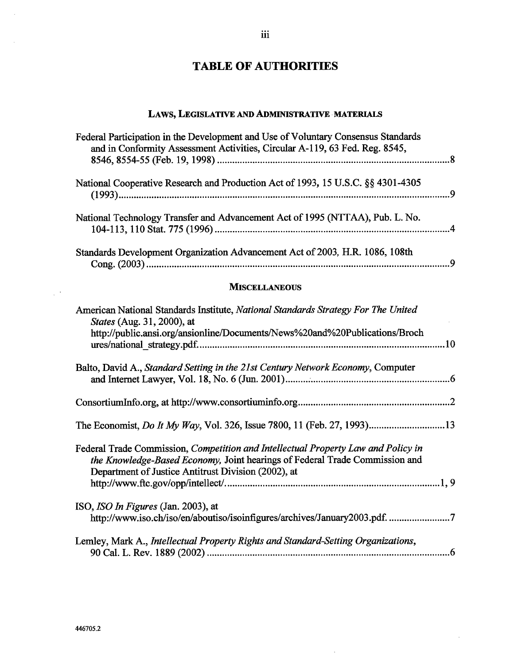# TABLE OF AUTHORITIES

## LAWS, LEGISLATIVE AND ADMINISTRATIVE MATERIALS

| Federal Participation in the Development and Use of Voluntary Consensus Standards<br>and in Conformity Assessment Activities, Circular A-119, 63 Fed. Reg. 8545, |  |
|------------------------------------------------------------------------------------------------------------------------------------------------------------------|--|
| National Cooperative Research and Production Act of 1993, 15 U.S.C. §§ 4301-4305                                                                                 |  |
| National Technology Transfer and Advancement Act of 1995 (NTTAA), Pub. L. No.                                                                                    |  |
| Standards Development Organization Advancement Act of 2003, H.R. 1086, 108th                                                                                     |  |
| <b>MISCELLANEOUS</b>                                                                                                                                             |  |

| American National Standards Institute, National Standards Strategy For The United<br>States (Aug. 31, 2000), at                                                                                                         |  |
|-------------------------------------------------------------------------------------------------------------------------------------------------------------------------------------------------------------------------|--|
| http://public.ansi.org/ansionline/Documents/News%20and%20Publications/Broch                                                                                                                                             |  |
|                                                                                                                                                                                                                         |  |
| Balto, David A., Standard Setting in the 21st Century Network Economy, Computer                                                                                                                                         |  |
|                                                                                                                                                                                                                         |  |
|                                                                                                                                                                                                                         |  |
| Federal Trade Commission, Competition and Intellectual Property Law and Policy in<br>the Knowledge-Based Economy, Joint hearings of Federal Trade Commission and<br>Department of Justice Antitrust Division (2002), at |  |
|                                                                                                                                                                                                                         |  |
| ISO, <i>ISO In Figures</i> (Jan. 2003), at                                                                                                                                                                              |  |
| http://www.iso.ch/iso/en/aboutiso/isoinfigures/archives/January2003.pdf. 7                                                                                                                                              |  |
| Lemley, Mark A., Intellectual Property Rights and Standard-Setting Organizations,                                                                                                                                       |  |

 $\hat{\mathcal{A}}$ 

 $\sim$ 

 $\bar{z}$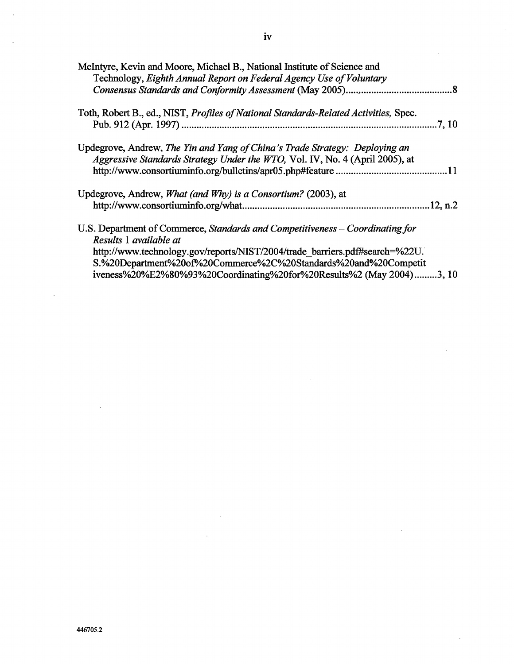| McIntyre, Kevin and Moore, Michael B., National Institute of Science and<br>Technology, Eighth Annual Report on Federal Agency Use of Voluntary                                        |
|----------------------------------------------------------------------------------------------------------------------------------------------------------------------------------------|
|                                                                                                                                                                                        |
| Toth, Robert B., ed., NIST, Profiles of National Standards-Related Activities, Spec.<br>.7, 10                                                                                         |
| Updegrove, Andrew, The Yin and Yang of China's Trade Strategy: Deploying an<br>Aggressive Standards Strategy Under the WTO, Vol. IV, No. 4 (April 2005), at                            |
| Updegrove, Andrew, What (and Why) is a Consortium? (2003), at                                                                                                                          |
| U.S. Department of Commerce, Standards and Competitiveness – Coordinating for<br>Results 1 available at<br>http://www.technology.gov/reports/NIST/2004/trade barriers.pdf#search=%22U. |
| S.%20Department%20of%20Commerce%2C%20Standards%20and%20Competit<br>iveness%20%E2%80%93%20Coordinating%20for%20Results%2 (May 2004)3, 10                                                |

 $\sim 10^{-1}$ 

 $\sim$ 

 $\sim$ 

 $\sim$ 

 $\sim$ 

 $\sim 10^7$ 

 $\sim 10^{-11}$ 

 $\sim$ 

 $\hat{\mathcal{A}}$ 

 $\mathcal{L}^{\text{max}}_{\text{max}}$  and  $\mathcal{L}^{\text{max}}_{\text{max}}$ 

 $\mathcal{L}^{\text{max}}_{\text{max}}$  ,  $\mathcal{L}^{\text{max}}_{\text{max}}$ 

 $\sim 10^{-1}$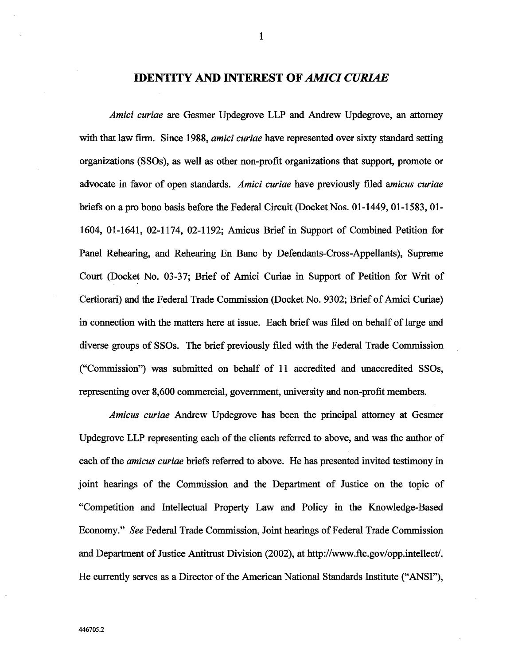### **IDENTITY AND INTEREST OF AMICI CURIAE**

Amici curiae are Gesmer Updegrove LLP and Andrew Updegrove, an attorney with that law firm. Since 1988, amici curiae have represented over sixty standard setting organizations (SSOs), as well as other non-profit organizations that support, promote or advocate in favor of open standards. Amici curiae have previously filed amicus curiae briefs on a pro bono basis before the Federal Circuit (Docket Nos. 01-1449, 01-1583, 01-1604, 01-1641, 02-1174, 02-1192; Amicus Brief in Support of Combined Petition for Panel Rehearing, and Rehearing En Banc by Defendants-Cross-Appellants), Supreme Court (Docket No. 03-37; Brief of Amici Curiae in Support of Petition for Writ of Certiorari) and the Federal Trade Commission (Docket No. 9302; Brief of Amici Curiae) in connection with the matters here at issue. Each brief was filed on behalf of large and diverse groups of SSOs. The brief previously filed with the Federal Trade Commission ("Commission") was submitted on behalf of 11 accredited and unaccredited SSOs, representing over 8,600 commercial, government, university and non-profit members.

Amicus curiae Andrew Updegrove has been the principal attorney at Gesmer Updegrove LLP representing each of the clients referred to above, and was the author of each of the *amicus curiae* briefs referred to above. He has presented invited testimony in joint hearings of the Commission and the Department of Justice on the topic of "Competition and Intellectual Property Law and Policy in the Knowledge-Based Economy." See Federal Trade Commission, Joint hearings of Federal Trade Commission and Department of Justice Antitrust Division (2002), at http://www.ftc.gov/opp.intellect/. He currently serves as a Director of the American National Standards Institute ("ANSI"),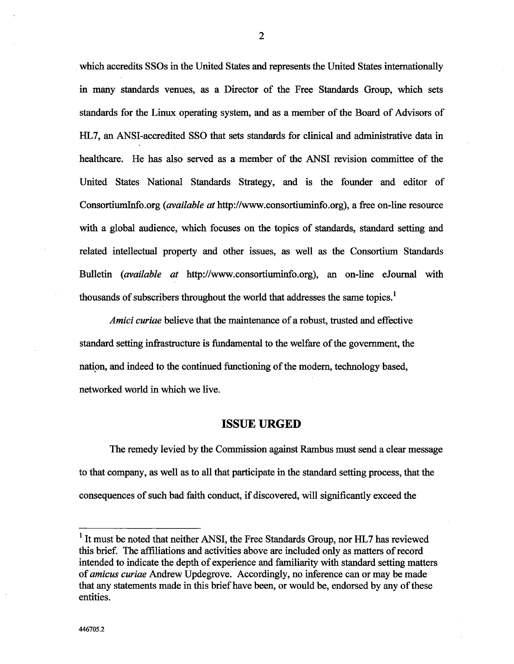which accredits SSOs in the United States and represents the United States internationally in many standards venues, as a Director of the Free Standards Group, which sets stadards for the Linux operating system, and as a member of the Board of Advisors of HL7, an ANSI-accredited SSO that sets standards for clinical and administrative data in healthcare. He has also served as a member of the ANSI revision committee of the United States National Stadards Strategy, and is the founder and editor of ConsortiumInfo.org (*available at* http://www.consortiuminfo.org), a free on-line resource with a global audience, which focuses on the topics of standards, standard setting and related intellectual property and other issues, as well as the Consortium Standards Bulletin (*available at* http://www.consortiuminfo.org), an on-line eJournal with thousands of subscribers throughout the world that addresses the same topics.<sup>1</sup>

Amici curiae believe that the maintenance of a robust, trusted and effective standard setting infrastructure is fundamental to the welfare of the government, the nation, and indeed to the continued functioning of the modern, technology based, networked world in which we live.

### ISSUE URGED

The remedy levied by the Commission against Rambus must send a clear message to that company, as well as to all that paricipate in the stadad setting process, that the consequences of such bad faith conduct, if discovered, will signficantly exceed the

<sup>&</sup>lt;sup>1</sup> It must be noted that neither ANSI, the Free Standards Group, nor HL7 has reviewed this brief. The affiliations and activities above are included only as matters of record intended to indicate the depth of experience and famliarty with stadard setting matters of *amicus curiae* Andrew Updegrove. Accordingly, no inference can or may be made that any statements made in this brief have been, or would be, endorsed by any of these entities.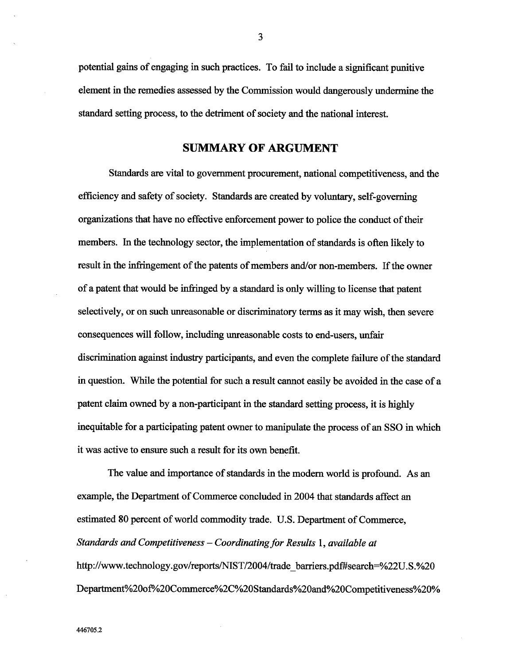potential gais of engaging in such practices. To fail to include a signficant puntive element in the remedies assessed by the Commission would dangerously undermine the standard setting process, to the detriment of society and the national interest.

### **SUMMARY OF ARGUMENT**

Stadards are vital to governent procurement, national competitiveness, and the efficiency and safety of society. Standards are created by voluntary, self-governing organizations that have no effective enforcement power to police the conduct of their members. In the technology sector, the implementation of standards is often likely to result in the infringement of the patents of members and/or non-members. If the owner of a patent that would be infringed by a standard is only willing to license that patent selectively, or on such unreasonable or discriminatory terms as it may wish, then severe consequences will follow, including unreasonable costs to end-users, unfair discrimination against industry participants, and even the complete failure of the standard in question. Whle the potential for such a result canot easily be avoided in the case of a patent claim owned by a non-participant in the standard setting process, it is highly inequitable for a participating patent owner to manipulate the process of an SSO in which it was active to ensure such a result for its own benefit.

The value and importance of standards in the modern world is profound. As an example, the Department of Commerce concluded in 2004 that standards affect an estimated 80 percent of world commodity trade. U.S. Department of Commerce, Standards and Competitiveness  $-$  Coordinating for Results 1, available at http://www.technology.gov/reports/NIST/2004/trade barriers.pdf#search=%22U.S.%20 Department%20of%20Commerce%2C%20Standards%20and%20Competitiveness%20%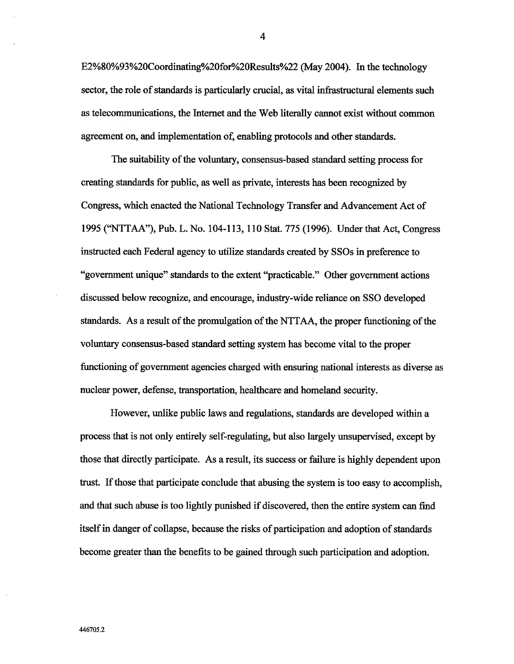E2%80%93%20Coordiating%20for%20Results%22 (May 2004). In the technology sector, the role of standards is particularly crucial, as vital infrastructural elements such as telecommuncations, the Internet and the Web literally canot exist without common agreement on, and implementation of, enabling protocols and other standards.

The suitability of the voluntary, consensus-based standard setting process for creating standards for public, as well as private, interests has been recognized by Congress, which enacted the National Technology Transfer and Advancement Act of 1995 ("NTTAA"), Pub. L. No. 104- 113 , 110 Stat. 775 (1996). Under that Act, Congress instructed each Federal agency to utilize standards created by SSOs in preference to "government unique" standards to the extent "practicable." Other government actions discussed below recognize, and encourage, industry-wide reliance on SSO developed standards. As a result of the promulgation of the NTTAA, the proper functioning of the voluntary consensus-based standard setting system has become vital to the proper functioning of government agencies charged with ensuring national interests as diverse as nuclear power, defense, transportation, healthcare and homeland security.

However, unlike public laws and regulations, standards are developed within a process that is not only entirely self-reguating, but also largely unsupervised, except by those that diectly paricipate. As a result, its success or failure is highy dependent upon trust. If those that participate conclude that abusing the system is too easy to accomplish, and that such abuse is too lightly punshed if discovered, then the entire system can fmd itself in danger of collapse, because the risks of paricipation and adoption of standards become greater than the benefits to be gaied though such paricipation and adoption.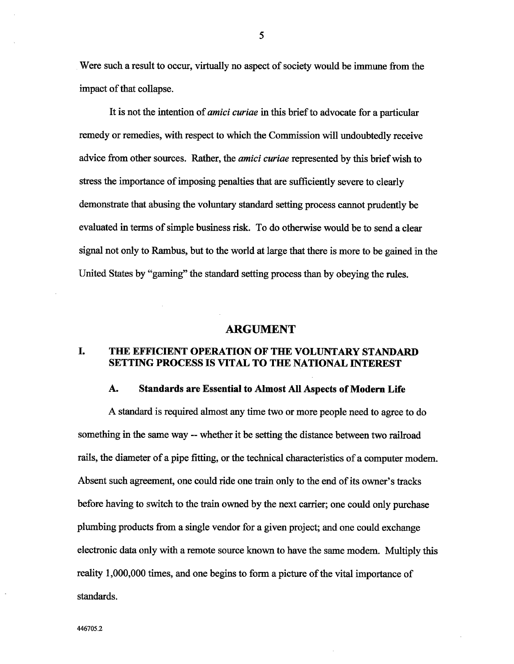Were such a result to occur, virtually no aspect of society would be immune from the impact of that collapse.

It is not the intention of *amici curiae* in this brief to advocate for a particular remedy or remedies, with respect to which the Commssion will undoubtedly receive advice from other sources. Rather, the *amici curiae* represented by this brief wish to stress the importance of imposing penalties that are sufficiently severe to clearly demonstrate that abusing the voluntary standard setting process cannot prudently be evaluated in terms of simple business risk. To do otherwise would be to send a clear signal not only to Rambus, but to the world at large that there is more to be gained in the United States by "gaming" the standard setting process than by obeying the rules.

### ARGUMENT

#### I. THE EFFICIENT OPERATION OF THE VOLUNTARY STANDARD SETTING PROCESS IS VITAL TO THE NATIONAL INTEREST

#### A. Standards are Essential to Almost All Aspects of Modern Life

A stadard is requied almost any time two or more people need to agree to do something in the same way -- whether it be setting the distance between two railroad rails, the diameter of a pipe fitting, or the technical characteristics of a computer modem. Absent such agreement, one could ride one train only to the end of its owner's tracks before having to switch to the train owned by the next carrier; one could only purchase plumbing products from a single vendor for a given project; and one could exchange electronic data only with a remote source known to have the same modem. Multiply this reality 1,000,000 times, and one begins to form a picture of the vital importance of standards.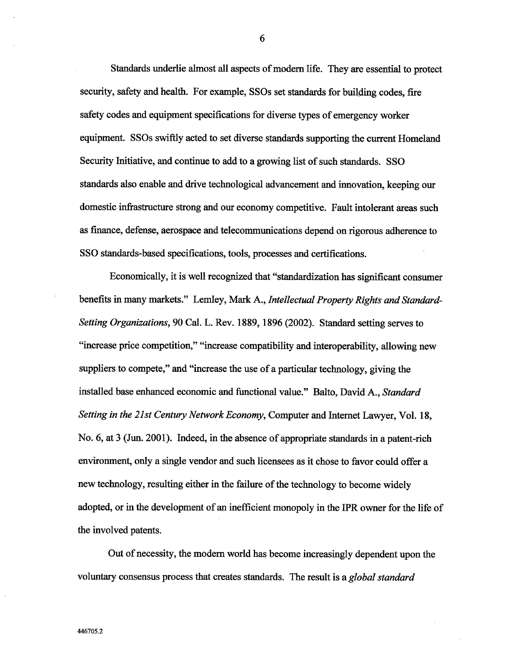Standards underlie almost all aspects of modern life. They are essential to protect security, safety and health. For example, SSOs set standards for building codes, fire safety codes and equipment specifications for diverse tyes of emergency worker equipment. SSOs swiftly acted to set diverse stadards supporting the curent Homeland Securty Intiative, and continue to add to a growing list of such stadards. SSO stadards also enable and drve technological advancement and inovation, keeping our domestic infrastructure strong and our economy competitive. Fault intolerant areas such as finance, defense, aerospace and telecommunications depend on rigorous adherence to SSO stadards-based specifications, tools, processes and certifications.

Economically, it is well recognized that "standardization has significant consumer benefits in many markets." Lemley, Mark A., Intellectual Property Rights and Standard-Setting Organizations, 90 Cal. L. Rev. 1889, 1896 (2002). Standard setting serves to increase price competition," "increase compatibility and interoperability, allowing new suppliers to compete," and "increase the use of a particular technology, giving the installed base enhanced economic and functional value." Balto, David A., Standard Setting in the 21st Century Network Economy, Computer and Internet Lawyer, Vol. 18, No. 6, at 3 (Jun. 2001). Indeed, in the absence of appropriate standards in a patent-rich environment, only a single vendor and such licensees as it chose to favor could offer a new technology, resulting either in the failure of the technology to become widely adopted, or in the development of an inefficient monopoly in the IPR owner for the life of the involved patents.

Out of necessity, the modem world has become increasingly dependent upon the voluntary consensus process that creates standards. The result is a global standard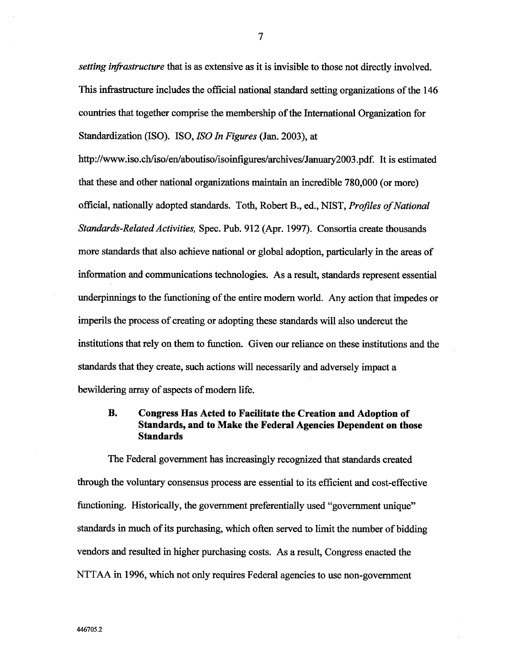setting infrastructure that is as extensive as it is invisible to those not directly involved. This infrastructure includes the official national standard setting organizations of the 146 countries that together comprise the membership of the International Organization for Standardization (ISO). ISO, ISO In Figures (Jan. 2003), at

http://www.iso.ch/iso/en/aboutiso/isoinfigures/archives/January2003.pdf. It is estimated that these and other national organizations maintain an incredible 780,000 (or more) official, nationally adopted standards. Toth, Robert B., ed., NIST, *Profiles of National* Standards-Related Activities, Spec. Pub. 912 (Apr. 1997). Consortia create thousands more stadards that also achieve national or global adoption, paricularly in the areas of information and communications technologies. As a result, standards represent essential underpinnings to the functioning of the entire modern world. Any action that impedes or imperils the process of creating or adopting these stadards will also undercut the institutions that rely on them to function. Given our reliance on these institutions and the stadards that they create, such actions will necessarly and adversely impact a bewildering array of aspects of modern life.

### **B.** Congress Has Acted to Faciltate the Creation and Adoption of Standards, and to Make the Federal Agencies Dependent on those **Standards**

The Federal government has increasingly recognized that standards created through the voluntary consensus process are essential to its efficient and cost-effective functioning. Historically, the government preferentially used "government unique" stadards in much of its purchasing, which often served to limt the number of bidding vendors and resulted in higher purchasing costs. As a result, Congress enacted the NTTAA in 1996, which not only requires Federal agencies to use non-government

 $\overline{7}$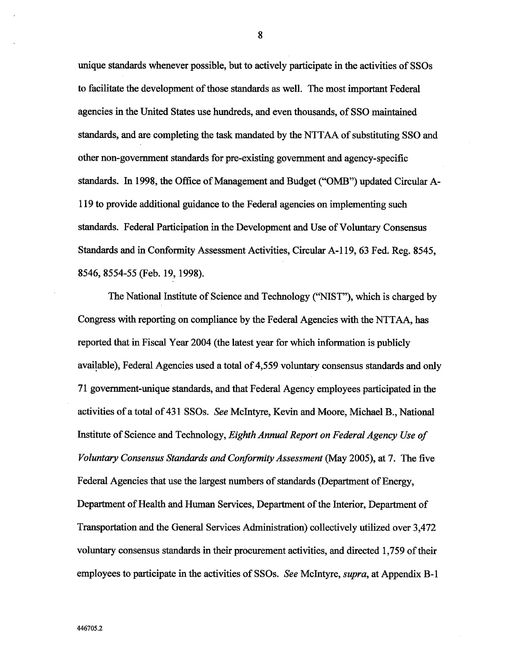unque stadards whenever possible, but to actively paricipate in the activities of SSOs to facilitate the development of those standards as well. The most important Federal agencies in the United States use hundreds, and even thousands, of SSO maintained stadads, and are completing the tak mandated by the NTT AA of substituting SSO and other non-governent stadards for pre-existing governent and agency-specific standards. In 1998, the Office of Management and Budget ("OMB") updated Circular A-119 to provide additional gudance to the Federal agencies on implementing such standards. Federal Participation in the Development and Use of Voluntary Consensus Stadards and in Conformty Assessment Activities, Circular A- 119, 63 Fed. Reg. 8545 8546 8554-55 (Feb. 19, 1998).

The National Institute of Science and Technology ("NIST"), which is charged by Congress with reporting on compliance by the Federal Agencies with the NTT AA, has reported that in Fiscal Year 2004 (the latest year for which information is publicly available), Federal Agencies used a total of 4,559 voluntary consensus standards and only 71 governent-unque stadards, and that Federal Agency employees paricipated in the activities of a total of 431 SSOs. See McIntyre, Kevin and Moore, Michael B., National Intitute of Science and Technology, Eighth Annual Report on Federal Agency Use of Voluntary Consensus Standards and Conformity Assessment (May 2005), at 7. The five Federal Agencies that use the largest numbers of standards (Department of Energy, Department of Health and Human Services, Department of the Interior, Department of Transportation and the General Services Administration) collectively utilized over 3,472 voluntary consensus standards in their procurement activities, and directed 1,759 of their employees to participate in the activities of SSOs. See McIntyre, *supra*, at Appendix B-1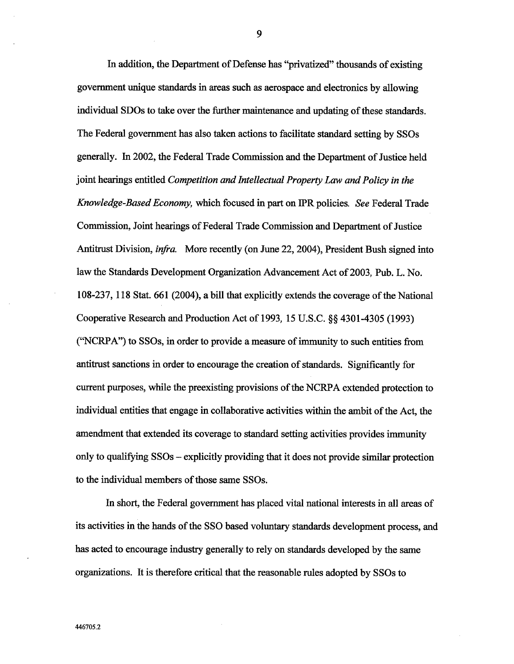In addition, the Department of Defense has "privatized" thousands of existing government unique standards in areas such as aerospace and electronics by allowing individual SDOs to take over the further maintenance and updating of these standards. The Federal government has also taken actions to facilitate standard setting by SSOs generally. In 2002, the Federal Trade Commission and the Department of Justice held joint hearings entitled Competition and Intellectual Property Law and Policy in the Knowledge-Based Economy, which focused in part on IPR policies. See Federal Trade Commission, Joint hearings of Federal Trade Commission and Department of Justice Antitrust Division, *infra.* More recently (on June 22, 2004), President Bush signed into law the Standards Development Organization Advancement Act of 2003, Pub. L. No. 108-237, 118 Stat. 661 (2004), a bil that explicitly extends the coverage of the National Cooperative Research and Production Act of 1993, 15 U.S.C. §§ 4301-4305 (1993) ("NCRPA") to SSOs, in order to provide a measure of immunity to such entities from antitrust sanctions in order to encourage the creation of standards. Significantly for current purposes, while the preexisting provisions of the NCRPA extended protection to individual entities that engage in collaborative activities within the ambit of the Act, the amendment that extended its coverage to standard setting activities provides immunity only to qualifying SSOs – explicitly providing that it does not provide similar protection to the individual members of those same SSOs.

In short, the Federal government has placed vital national interests in all areas of its activities in the hands of the SSO based voluntary standards development process, and has acted to encourage industry generally to rely on standards developed by the same organizations. It is therefore critical that the reasonable rules adopted by SSOs to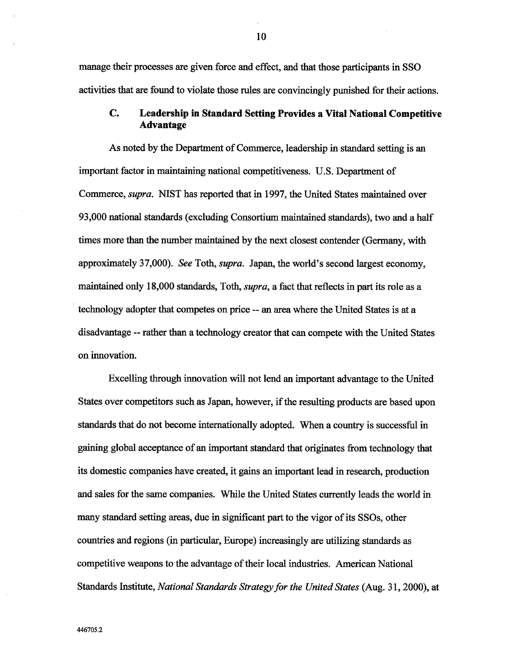manage their processes are given force and effect, and that those paricipants in SSO activities that are found to violate those rules are convincingly punshed for their actions.

#### $\mathbf{C}$ . Leadership in Standard Setting Provides a Vital National Competitive Advantage

As noted by the Department of Commerce, leadership in standard setting is an important factor in maintaining national competitiveness. U.S. Department of Commerce, *supra*. NIST has reported that in 1997, the United States maintained over 93,000 national standards (excluding Consortium maintained standards), two and a half times more than the number maintained by the next closest contender (Germany, with approximately 37,000). See Toth, supra. Japan, the world's second largest economy, maintained only 18,000 standards, Toth, *supra*, a fact that reflects in part its role as a technology adopter that competes on price -- an area where the United States is at a disadvantage -- rather than a technology creator that can compete with the United States on inovation.

Excelling through innovation will not lend an important advantage to the United States over competitors such as Japan, however, if the resulting products are based upon standards that do not become internationally adopted. When a country is successful in gaining global acceptance of an important standard that originates from technology that its domestic companies have created, it gains an important lead in research, production and sales for the same companies. While the United States currently leads the world in many standard setting areas, due in significant part to the vigor of its SSOs, other countries and regions (in particular, Europe) increasingly are utilizing standards as competitive weapons to the advantage of their local industres. American National Standards Institute, *National Standards Strategy for the United States* (Aug. 31, 2000), at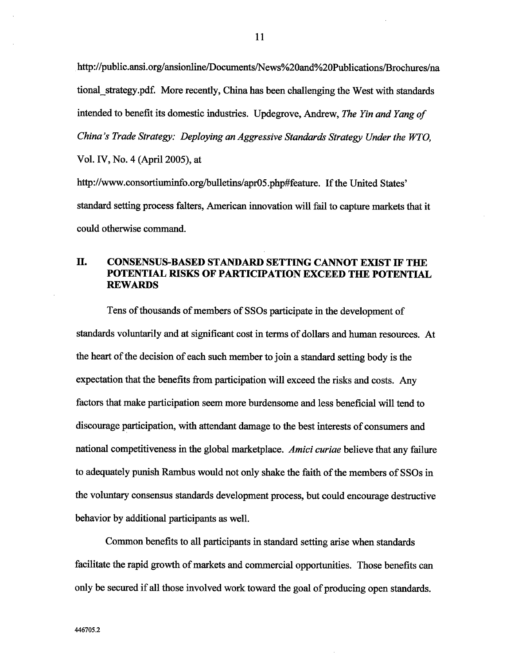http://public.ansi.org/ansionline/Documents/News%20and%20Publications/Brochures/na tional strategy.pdf. More recently, China has been challenging the West with standards intended to benefit its domestic industries. Updegrove, Andrew, The Yin and Yang of China's Trade Strategy: Deploying an Aggressive Standards Strategy Under the WTO, Vol. IV, No. 4 (April 2005), at

http://www.consortiuminfo.org/bulletins/apr05.php#feature. If the United States' stadard setting process falters, American inovation will fail to captue markets that it could otherwise command.

### II. CONSENSUS-BASED STANDARD SETTING CANNOT EXIST IF THE POTENTIAL RISKS OF PARTICIPATION EXCEED THE POTENTIAL **REWARDS**

Tens of thousands of members of SSOs participate in the development of standards voluntarily and at significant cost in terms of dollars and human resources. At the heart of the decision of each such member to join a standard setting body is the expectation that the benefits from paricipation will exceed the risks and costs. Any factors that make paricipation seem more burdensome and less beneficial will tend to discourage paricipation, with attendant damage to the best interests of consumers and national competitiveness in the global marketplace. Amici curiae believe that any failure to adequately punish Rambus would not only shake the faith of the members of SSOs in the voluntary consensus standards development process, but could encourage destructive behavior by additional paricipants as well.

Common benefits to all participants in standard setting arise when standards facilitate the rapid growth of markets and commercial opportunities. Those benefits can only be secured if all those involved work toward the goal of producing open stadards.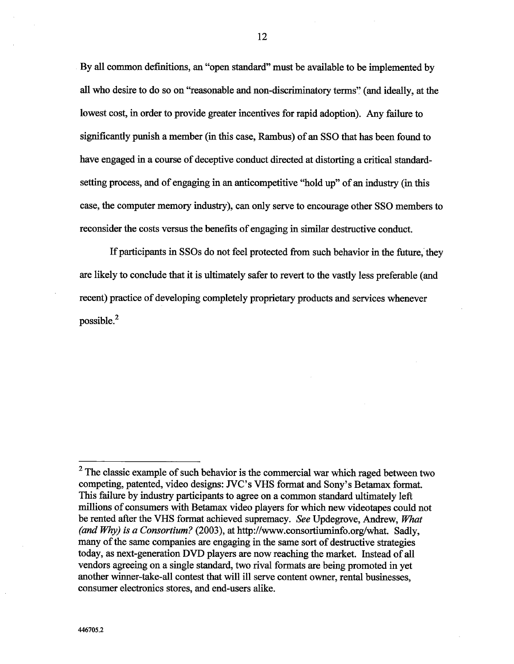By all common definitions, an "open standard" must be available to be implemented by all who desire to do so on "reasonable and non-discriminatory terms" (and ideally, at the lowest cost, in order to provide greater incentives for rapid adoption). Any failure to signficantly punsh a member (in this case, Rambus) of an SSO that has been found to have engaged in a course of deceptive conduct directed at distorting a critical stadardsetting process, and of engaging in an anticompetitive "hold up" of an industry (in this case, the computer memory industry), can only serve to encourage other SSO members to reconsider the costs versus the benefits of engaging in similar destructive conduct.

If participants in SSOs do not feel protected from such behavior in the future, they are likely to conclude that it is ultimately safer to revert to the vastly less preferable (and recent) practice of developing completely proprietary products and services whenever possible.

 $2$  The classic example of such behavior is the commercial war which raged between two competing, patented, video designs: JVC's VHS format and Sony's Betamax format. This failure by industry participants to agree on a common standard ultimately left millions of consumers with Betamax video players for which new videotapes could not be rented after the VHS format achieved supremacy. See Updegrove, Andrew, What (and Why) is a Consortium? (2003), at http://www.consortiuminfo.org/what. Sadly, many of the same companies are engaging in the same sort of destructive strategies today, as next-generation DVD players are now reachig the market. Intead of all vendors agreeing on a single stadard, two rival formats are being promoted in yet another winner-take-all contest that will ill serve content owner, rental businesses, consumer electronics stores, and end-users alike.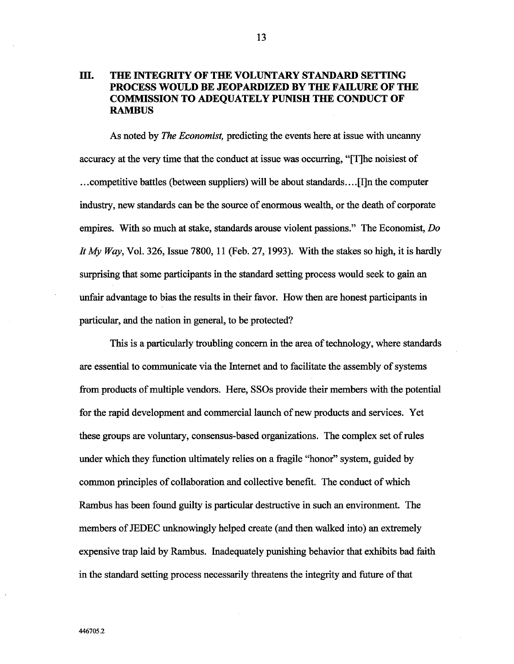### III. THE INTEGRITY OF THE VOLUNTARY STANDARD SETTING PROCESS WOULD BE JEOPARDIZED BY THE FAILURE OF THE COMMISSION TO ADEQUATELY PUNISH THE CONDUCT OF **RAMBUS**

As noted by *The Economist*, predicting the events here at issue with uncanny accuracy at the very time that the conduct at issue was occurring, "[T]he noisiest of competitive battles (between suppliers) will be about standards....[I]n the computer industry, new standards can be the source of enormous wealth, or the death of corporate empires. With so much at stake, standards arouse violent passions." The Economist,  $Do$ It My Way, Vol. 326, Issue 7800, 11 (Feb. 27, 1993). With the stakes so high, it is hardly surprising that some participants in the standard setting process would seek to gain an unfair advantage to bias the results in their favor. How then are honest participants in paricular, and the nation in general, to be protected?

Ths is a paricularly troubling concern in the area of technology, where stadards are essential to communcate via the Internet and to faciltate the assembly of systems from products of multiple vendors. Here, SSOs provide their members with the potential for the rapid development and commercial launch of new products and services. Yet these groups are voluntary, consensus-based organizations. The complex set of rules under which they function ultimately relies on a fragile "honor" system, guided by common priciples of collaboration and collective benefit. The conduct of which Rambus has been found guilty is particular destructive in such an environment. The members of JEDEC unknowingly helped create (and then walked into) an extremely expensive trap laid by Rambus. Inadequately punishing behavior that exhibits bad faith in the stadard setting process necessarly theatens the integrty and futue of that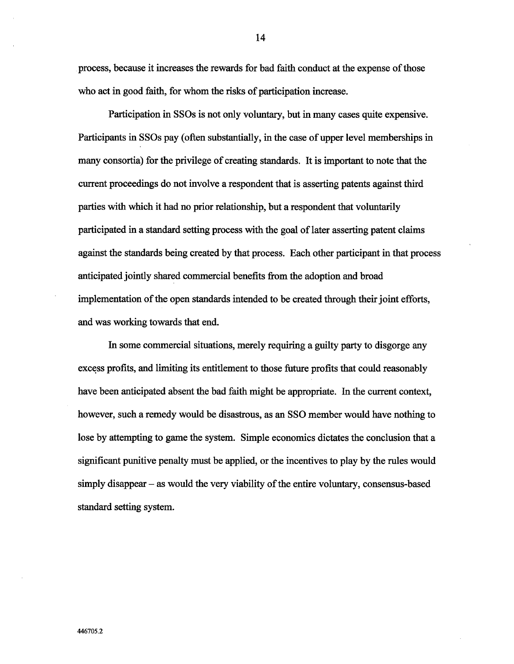process, because it increases the rewards for bad faith conduct at the expense of those who act in good faith, for whom the risks of paricipation increase.

Participation in SSOs is not only voluntary, but in many cases quite expensive. Participants in SSOs pay (often substantially, in the case of upper level memberships in many consortia) for the privilege of creating standards. It is important to note that the current proceedings do not involve a respondent that is asserting patents against third parties with which it had no prior relationship, but a respondent that voluntarily paricipated in a stadard setting process with the goal of later asserting patent claims against the standards being created by that process. Each other participant in that process anticipated jointly shared commercial benefits from the adoption and broad implementation of the open stadards intended to be created though their joint efforts and was working towards that end.

In some commercial situations, merely requiring a guilty party to disgorge any excess profits, and limiting its entitlement to those future profits that could reasonably have been anticipated absent the bad faith might be appropriate. In the current context, however, such a remedy would be disastrous, as an SSO member would have nothig to lose by attempting to game the system. Simple economics dictates the conclusion that a significant punitive penalty must be applied, or the incentives to play by the rules would simply disappear  $-$  as would the very viability of the entire voluntary, consensus-based standard setting system.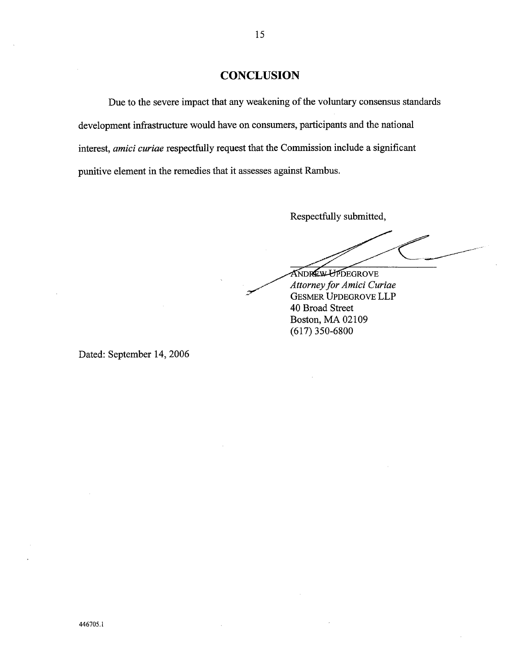## **CONCLUSION**

Due to the severe impact that any weakening of the voluntary consensus standards development infrastructure would have on consumers, participants and the national interest, amici curiae respectfully request that the Commission include a significant punitive element in the remedies that it assesses against Rambus.

Respectfully submitted

**ANDREW-UPDEGROVE** Attorney for Amici Curiae GESMER UPDEGROVE LLP 40 Broad Street Boston, MA 02109 (617) 350-6800

Dated: September 14, 2006

446705.